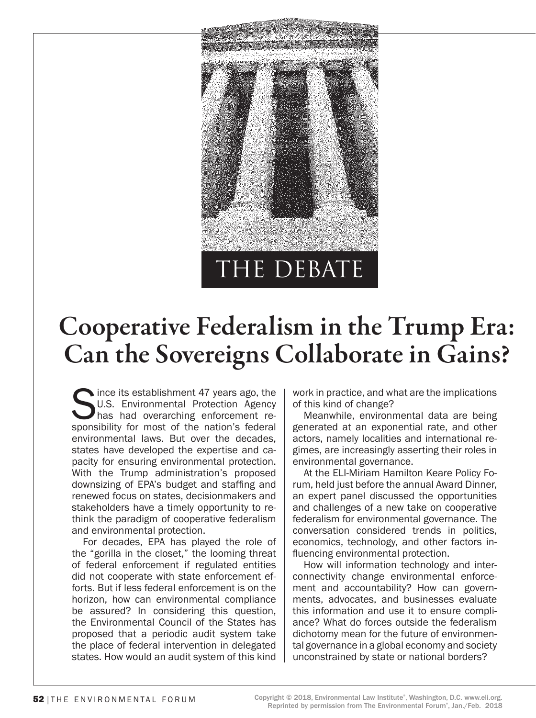

# Cooperative Federalism in the Trump Era: Can the Sovereigns Collaborate in Gains?

Since its establishment 47 years ago, the U.S. Environmental Protection Agency has had overarching enforcement responsibility for most of the nation's federal U.S. Environmental Protection Agency has had overarching enforcement reenvironmental laws. But over the decades, states have developed the expertise and capacity for ensuring environmental protection. With the Trump administration's proposed downsizing of EPA's budget and staffing and renewed focus on states, decisionmakers and stakeholders have a timely opportunity to rethink the paradigm of cooperative federalism and environmental protection.

For decades, EPA has played the role of the "gorilla in the closet," the looming threat of federal enforcement if regulated entities did not cooperate with state enforcement efforts. But if less federal enforcement is on the horizon, how can environmental compliance be assured? In considering this question, the Environmental Council of the States has proposed that a periodic audit system take the place of federal intervention in delegated states. How would an audit system of this kind

work in practice, and what are the implications of this kind of change?

Meanwhile, environmental data are being generated at an exponential rate, and other actors, namely localities and international regimes, are increasingly asserting their roles in environmental governance.

At the ELI-Miriam Hamilton Keare Policy Forum, held just before the annual Award Dinner, an expert panel discussed the opportunities and challenges of a new take on cooperative federalism for environmental governance. The conversation considered trends in politics, economics, technology, and other factors influencing environmental protection.

How will information technology and interconnectivity change environmental enforcement and accountability? How can governments, advocates, and businesses evaluate this information and use it to ensure compliance? What do forces outside the federalism dichotomy mean for the future of environmental governance in a global economy and society unconstrained by state or national borders?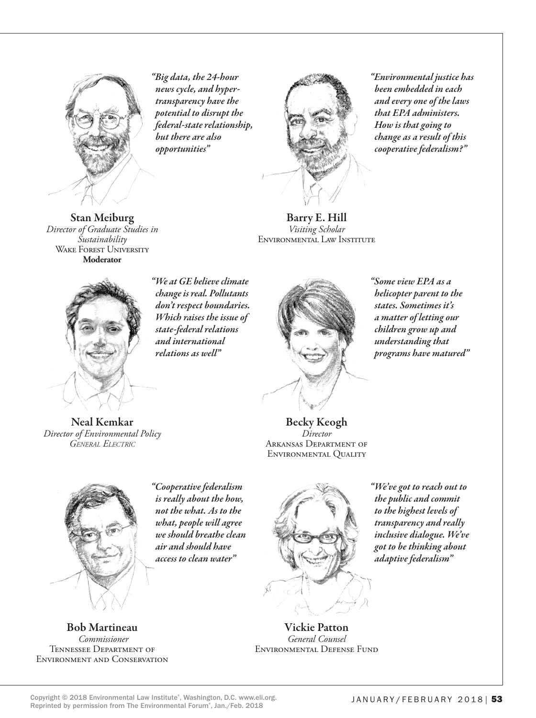

Stan Meiburg *Director of Graduate Studies in Sustainability* WAKE FOREST UNIVERSITY **Moderator**

*"Big data, the 24-hour news cycle, and hypertransparency have the potential to disrupt the federal-state relationship, but there are also opportunities"*



*"Environmental justice has been embedded in each and every one of the laws that EPA administers. How is that going to change as a result of this cooperative federalism?"*

Barry E. Hill *Visiting Scholar* Environmental Law Institute

*"We at GE believe climate change is real. Pollutants don't respect boundaries. Which raises the issue of state-federal relations and international relations as well"*



*"Some view EPA as a helicopter parent to the states. Sometimes it's a matter of letting our children grow up and understanding that programs have matured"*

Neal Kemkar *Director of Environmental Policy General Electric*

Becky Keogh *Director* Arkansas Department of Environmental Quality



Bob Martineau  *Commissioner* Tennessee Department of Environment and Conservation

*"Cooperative federalism is really about the how, not the what. As to the what, people will agree we should breathe clean air and should have access to clean water"*

*"We've got to reach out to the public and commit to the highest levels of transparency and really inclusive dialogue. We've got to be thinking about adaptive federalism"*

Vickie Patton *General Counsel* Environmental Defense Fund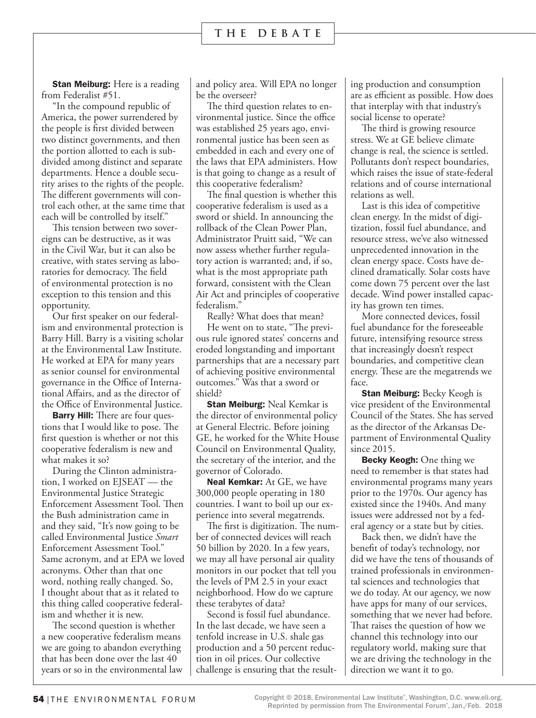**Stan Meiburg:** Here is a reading from Federalist #51.

"In the compound republic of America, the power surrendered by the people is first divided between two distinct governments, and then the portion allotted to each is subdivided among distinct and separate departments. Hence a double security arises to the rights of the people. The different governments will control each other, at the same time that each will be controlled by itself."

This tension between two sovereigns can be destructive, as it was in the Civil War, but it can also be creative, with states serving as laboratories for democracy. The field of environmental protection is no exception to this tension and this opportunity.

Our first speaker on our federalism and environmental protection is Barry Hill. Barry is a visiting scholar at the Environmental Law Institute. He worked at EPA for many years as senior counsel for environmental governance in the Office of International Affairs, and as the director of the Office of Environmental Justice.

**Barry Hill:** There are four questions that I would like to pose. The first question is whether or not this cooperative federalism is new and what makes it so?

During the Clinton administration, I worked on EJSEAT — the Environmental Justice Strategic Enforcement Assessment Tool. Then the Bush administration came in and they said, "It's now going to be called Environmental Justice *Smart*  Enforcement Assessment Tool." Same acronym, and at EPA we loved acronyms. Other than that one word, nothing really changed. So, I thought about that as it related to this thing called cooperative federalism and whether it is new.

The second question is whether a new cooperative federalism means we are going to abandon everything that has been done over the last 40 years or so in the environmental law

and policy area. Will EPA no longer be the overseer?

The third question relates to environmental justice. Since the office was established 25 years ago, environmental justice has been seen as embedded in each and every one of the laws that EPA administers. How is that going to change as a result of this cooperative federalism?

The final question is whether this cooperative federalism is used as a sword or shield. In announcing the rollback of the Clean Power Plan, Administrator Pruitt said, "We can now assess whether further regulatory action is warranted; and, if so, what is the most appropriate path forward, consistent with the Clean Air Act and principles of cooperative federalism."

Really? What does that mean?

He went on to state, "The previous rule ignored states' concerns and eroded longstanding and important partnerships that are a necessary part of achieving positive environmental outcomes." Was that a sword or shield?

**Stan Meiburg: Neal Kemkar is** the director of environmental policy at General Electric. Before joining GE, he worked for the White House Council on Environmental Quality, the secretary of the interior, and the governor of Colorado.

**Neal Kemkar:** At GE, we have 300,000 people operating in 180 countries. I want to boil up our experience into several megatrends.

The first is digitization. The number of connected devices will reach 50 billion by 2020. In a few years, we may all have personal air quality monitors in our pocket that tell you the levels of PM 2.5 in your exact neighborhood. How do we capture these terabytes of data?

Second is fossil fuel abundance. In the last decade, we have seen a tenfold increase in U.S. shale gas production and a 50 percent reduction in oil prices. Our collective challenge is ensuring that the resulting production and consumption are as efficient as possible. How does that interplay with that industry's social license to operate?

The third is growing resource stress. We at GE believe climate change is real, the science is settled. Pollutants don't respect boundaries, which raises the issue of state-federal relations and of course international relations as well.

Last is this idea of competitive clean energy. In the midst of digitization, fossil fuel abundance, and resource stress, we've also witnessed unprecedented innovation in the clean energy space. Costs have declined dramatically. Solar costs have come down 75 percent over the last decade. Wind power installed capacity has grown ten times.

More connected devices, fossil fuel abundance for the foreseeable future, intensifying resource stress that increasingly doesn't respect boundaries, and competitive clean energy. These are the megatrends we face.

**Stan Meiburg: Becky Keogh is** vice president of the Environmental Council of the States. She has served as the director of the Arkansas Department of Environmental Quality since 2015.

**Becky Keogh:** One thing we need to remember is that states had environmental programs many years prior to the 1970s. Our agency has existed since the 1940s. And many issues were addressed not by a federal agency or a state but by cities.

Back then, we didn't have the benefit of today's technology, nor did we have the tens of thousands of trained professionals in environmental sciences and technologies that we do today. At our agency, we now have apps for many of our services, something that we never had before. That raises the question of how we channel this technology into our regulatory world, making sure that we are driving the technology in the direction we want it to go.

Copyright © 2018, Environmental Law Institute®, Washington, D.C. www.eli.org. Reprinted by permission from The Environmental Forum® , Jan./Feb. 2018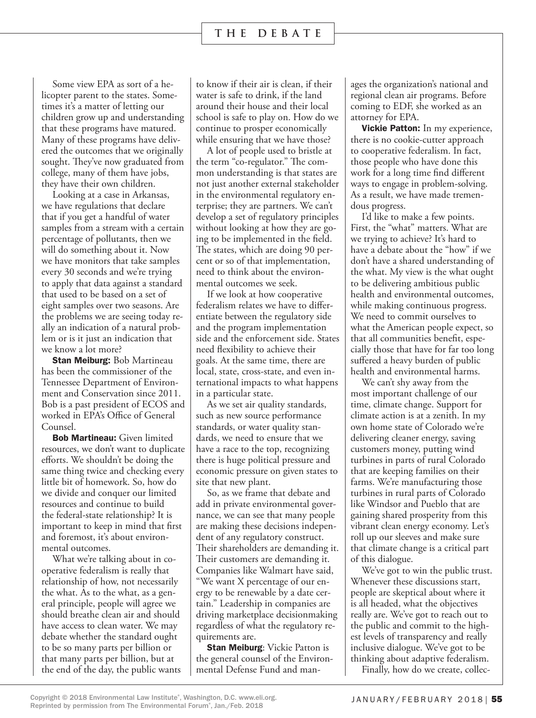Some view EPA as sort of a helicopter parent to the states. Sometimes it's a matter of letting our children grow up and understanding that these programs have matured. Many of these programs have delivered the outcomes that we originally sought. They've now graduated from college, many of them have jobs, they have their own children.

Looking at a case in Arkansas, we have regulations that declare that if you get a handful of water samples from a stream with a certain percentage of pollutants, then we will do something about it. Now we have monitors that take samples every 30 seconds and we're trying to apply that data against a standard that used to be based on a set of eight samples over two seasons. Are the problems we are seeing today really an indication of a natural problem or is it just an indication that we know a lot more?

**Stan Meiburg: Bob Martineau** has been the commissioner of the Tennessee Department of Environment and Conservation since 2011. Bob is a past president of ECOS and worked in EPA's Office of General Counsel.

Bob Martineau: Given limited resources, we don't want to duplicate efforts. We shouldn't be doing the same thing twice and checking every little bit of homework. So, how do we divide and conquer our limited resources and continue to build the federal-state relationship? It is important to keep in mind that first and foremost, it's about environmental outcomes.

What we're talking about in cooperative federalism is really that relationship of how, not necessarily the what. As to the what, as a general principle, people will agree we should breathe clean air and should have access to clean water. We may debate whether the standard ought to be so many parts per billion or that many parts per billion, but at the end of the day, the public wants to know if their air is clean, if their water is safe to drink, if the land around their house and their local school is safe to play on. How do we continue to prosper economically while ensuring that we have those?

A lot of people used to bristle at the term "co-regulator." The common understanding is that states are not just another external stakeholder in the environmental regulatory enterprise; they are partners. We can't develop a set of regulatory principles without looking at how they are going to be implemented in the field. The states, which are doing 90 percent or so of that implementation, need to think about the environmental outcomes we seek.

If we look at how cooperative federalism relates we have to differentiate between the regulatory side and the program implementation side and the enforcement side. States need flexibility to achieve their goals. At the same time, there are local, state, cross-state, and even international impacts to what happens in a particular state.

As we set air quality standards, such as new source performance standards, or water quality standards, we need to ensure that we have a race to the top, recognizing there is huge political pressure and economic pressure on given states to site that new plant.

So, as we frame that debate and add in private environmental governance, we can see that many people are making these decisions independent of any regulatory construct. Their shareholders are demanding it. Their customers are demanding it. Companies like Walmart have said, "We want X percentage of our energy to be renewable by a date certain." Leadership in companies are driving marketplace decisionmaking regardless of what the regulatory requirements are.

**Stan Meiburg:** Vickie Patton is the general counsel of the Environmental Defense Fund and manages the organization's national and regional clean air programs. Before coming to EDF, she worked as an attorney for EPA.

Vickie Patton: In my experience, there is no cookie-cutter approach to cooperative federalism. In fact, those people who have done this work for a long time find different ways to engage in problem-solving. As a result, we have made tremendous progress.

I'd like to make a few points. First, the "what" matters. What are we trying to achieve? It's hard to have a debate about the "how" if we don't have a shared understanding of the what. My view is the what ought to be delivering ambitious public health and environmental outcomes, while making continuous progress. We need to commit ourselves to what the American people expect, so that all communities benefit, especially those that have for far too long suffered a heavy burden of public health and environmental harms.

We can't shy away from the most important challenge of our time, climate change. Support for climate action is at a zenith. In my own home state of Colorado we're delivering cleaner energy, saving customers money, putting wind turbines in parts of rural Colorado that are keeping families on their farms. We're manufacturing those turbines in rural parts of Colorado like Windsor and Pueblo that are gaining shared prosperity from this vibrant clean energy economy. Let's roll up our sleeves and make sure that climate change is a critical part of this dialogue.

We've got to win the public trust. Whenever these discussions start, people are skeptical about where it is all headed, what the objectives really are. We've got to reach out to the public and commit to the highest levels of transparency and really inclusive dialogue. We've got to be thinking about adaptive federalism.

Finally, how do we create, collec-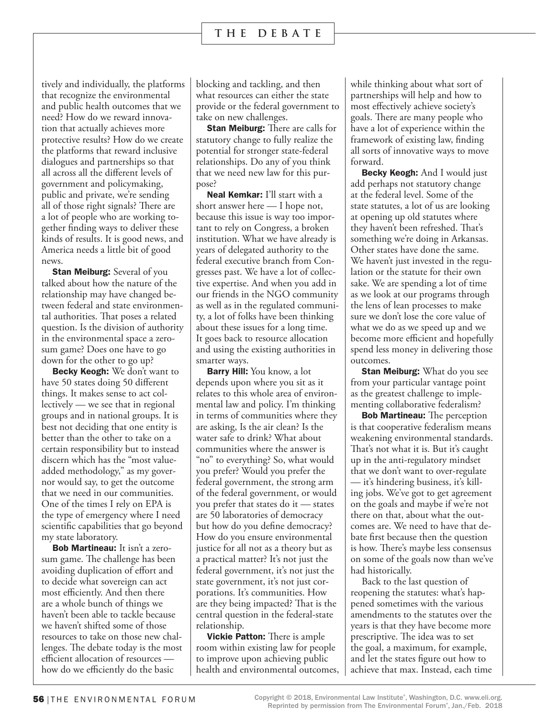tively and individually, the platforms that recognize the environmental and public health outcomes that we need? How do we reward innovation that actually achieves more protective results? How do we create the platforms that reward inclusive dialogues and partnerships so that all across all the different levels of government and policymaking, public and private, we're sending all of those right signals? There are a lot of people who are working together finding ways to deliver these kinds of results. It is good news, and America needs a little bit of good news.

**Stan Meiburg:** Several of you talked about how the nature of the relationship may have changed between federal and state environmental authorities. That poses a related question. Is the division of authority in the environmental space a zerosum game? Does one have to go down for the other to go up?

Becky Keogh: We don't want to have 50 states doing 50 different things. It makes sense to act collectively — we see that in regional groups and in national groups. It is best not deciding that one entity is better than the other to take on a certain responsibility but to instead discern which has the "most valueadded methodology," as my governor would say, to get the outcome that we need in our communities. One of the times I rely on EPA is the type of emergency where I need scientific capabilities that go beyond my state laboratory.

Bob Martineau: It isn't a zerosum game. The challenge has been avoiding duplication of effort and to decide what sovereign can act most efficiently. And then there are a whole bunch of things we haven't been able to tackle because we haven't shifted some of those resources to take on those new challenges. The debate today is the most efficient allocation of resources how do we efficiently do the basic

blocking and tackling, and then what resources can either the state provide or the federal government to take on new challenges.

**Stan Meiburg:** There are calls for statutory change to fully realize the potential for stronger state-federal relationships. Do any of you think that we need new law for this purpose?

Neal Kemkar: I'll start with a short answer here — I hope not, because this issue is way too important to rely on Congress, a broken institution. What we have already is years of delegated authority to the federal executive branch from Congresses past. We have a lot of collective expertise. And when you add in our friends in the NGO community as well as in the regulated community, a lot of folks have been thinking about these issues for a long time. It goes back to resource allocation and using the existing authorities in smarter ways.

**Barry Hill:** You know, a lot depends upon where you sit as it relates to this whole area of environmental law and policy. I'm thinking in terms of communities where they are asking, Is the air clean? Is the water safe to drink? What about communities where the answer is "no" to everything? So, what would you prefer? Would you prefer the federal government, the strong arm of the federal government, or would you prefer that states do it — states are 50 laboratories of democracy but how do you define democracy? How do you ensure environmental justice for all not as a theory but as a practical matter? It's not just the federal government, it's not just the state government, it's not just corporations. It's communities. How are they being impacted? That is the central question in the federal-state relationship.

**Vickie Patton:** There is ample room within existing law for people to improve upon achieving public health and environmental outcomes, while thinking about what sort of partnerships will help and how to most effectively achieve society's goals. There are many people who have a lot of experience within the framework of existing law, finding all sorts of innovative ways to move forward.

**Becky Keogh:** And I would just add perhaps not statutory change at the federal level. Some of the state statutes, a lot of us are looking at opening up old statutes where they haven't been refreshed. That's something we're doing in Arkansas. Other states have done the same. We haven't just invested in the regulation or the statute for their own sake. We are spending a lot of time as we look at our programs through the lens of lean processes to make sure we don't lose the core value of what we do as we speed up and we become more efficient and hopefully spend less money in delivering those outcomes.

**Stan Meiburg:** What do you see from your particular vantage point as the greatest challenge to implementing collaborative federalism?

**Bob Martineau:** The perception is that cooperative federalism means weakening environmental standards. That's not what it is. But it's caught up in the anti-regulatory mindset that we don't want to over-regulate — it's hindering business, it's killing jobs. We've got to get agreement on the goals and maybe if we're not there on that, about what the outcomes are. We need to have that debate first because then the question is how. There's maybe less consensus on some of the goals now than we've had historically.

Back to the last question of reopening the statutes: what's happened sometimes with the various amendments to the statutes over the years is that they have become more prescriptive. The idea was to set the goal, a maximum, for example, and let the states figure out how to achieve that max. Instead, each time

Copyright © 2018, Environmental Law Institute®, Washington, D.C. www.eli.org. Reprinted by permission from The Environmental Forum® , Jan./Feb. 2018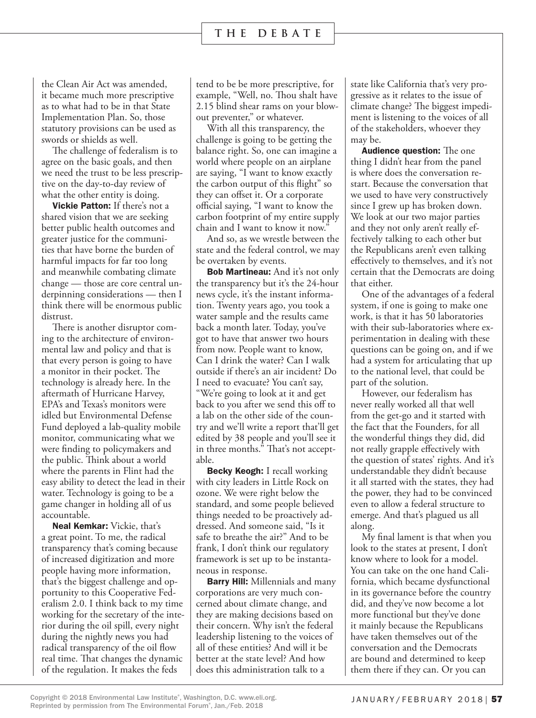the Clean Air Act was amended, it became much more prescriptive as to what had to be in that State Implementation Plan. So, those statutory provisions can be used as swords or shields as well.

The challenge of federalism is to agree on the basic goals, and then we need the trust to be less prescriptive on the day-to-day review of what the other entity is doing.

Vickie Patton: If there's not a shared vision that we are seeking better public health outcomes and greater justice for the communities that have borne the burden of harmful impacts for far too long and meanwhile combating climate change — those are core central underpinning considerations — then I think there will be enormous public distrust.

There is another disruptor coming to the architecture of environmental law and policy and that is that every person is going to have a monitor in their pocket. The technology is already here. In the aftermath of Hurricane Harvey, EPA's and Texas's monitors were idled but Environmental Defense Fund deployed a lab-quality mobile monitor, communicating what we were finding to policymakers and the public. Think about a world where the parents in Flint had the easy ability to detect the lead in their water. Technology is going to be a game changer in holding all of us accountable.

Neal Kemkar: Vickie, that's a great point. To me, the radical transparency that's coming because of increased digitization and more people having more information, that's the biggest challenge and opportunity to this Cooperative Federalism 2.0. I think back to my time working for the secretary of the interior during the oil spill, every night during the nightly news you had radical transparency of the oil flow real time. That changes the dynamic of the regulation. It makes the feds

tend to be be more prescriptive, for example, "Well, no. Thou shalt have 2.15 blind shear rams on your blowout preventer," or whatever.

With all this transparency, the challenge is going to be getting the balance right. So, one can imagine a world where people on an airplane are saying, "I want to know exactly the carbon output of this flight" so they can offset it. Or a corporate official saying, "I want to know the carbon footprint of my entire supply chain and I want to know it now."

And so, as we wrestle between the state and the federal control, we may be overtaken by events.

**Bob Martineau:** And it's not only the transparency but it's the 24-hour news cycle, it's the instant information. Twenty years ago, you took a water sample and the results came back a month later. Today, you've got to have that answer two hours from now. People want to know, Can I drink the water? Can I walk outside if there's an air incident? Do I need to evacuate? You can't say, "We're going to look at it and get back to you after we send this off to a lab on the other side of the country and we'll write a report that'll get edited by 38 people and you'll see it in three months." That's not acceptable.

**Becky Keogh:** I recall working with city leaders in Little Rock on ozone. We were right below the standard, and some people believed things needed to be proactively addressed. And someone said, "Is it safe to breathe the air?" And to be frank, I don't think our regulatory framework is set up to be instantaneous in response.

**Barry Hill:** Millennials and many corporations are very much concerned about climate change, and they are making decisions based on their concern. Why isn't the federal leadership listening to the voices of all of these entities? And will it be better at the state level? And how does this administration talk to a

state like California that's very progressive as it relates to the issue of climate change? The biggest impediment is listening to the voices of all of the stakeholders, whoever they may be.

Audience question: The one thing I didn't hear from the panel is where does the conversation restart. Because the conversation that we used to have very constructively since I grew up has broken down. We look at our two major parties and they not only aren't really effectively talking to each other but the Republicans aren't even talking effectively to themselves, and it's not certain that the Democrats are doing that either.

One of the advantages of a federal system, if one is going to make one work, is that it has 50 laboratories with their sub-laboratories where experimentation in dealing with these questions can be going on, and if we had a system for articulating that up to the national level, that could be part of the solution.

However, our federalism has never really worked all that well from the get-go and it started with the fact that the Founders, for all the wonderful things they did, did not really grapple effectively with the question of states' rights. And it's understandable they didn't because it all started with the states, they had the power, they had to be convinced even to allow a federal structure to emerge. And that's plagued us all along.

My final lament is that when you look to the states at present, I don't know where to look for a model. You can take on the one hand California, which became dysfunctional in its governance before the country did, and they've now become a lot more functional but they've done it mainly because the Republicans have taken themselves out of the conversation and the Democrats are bound and determined to keep them there if they can. Or you can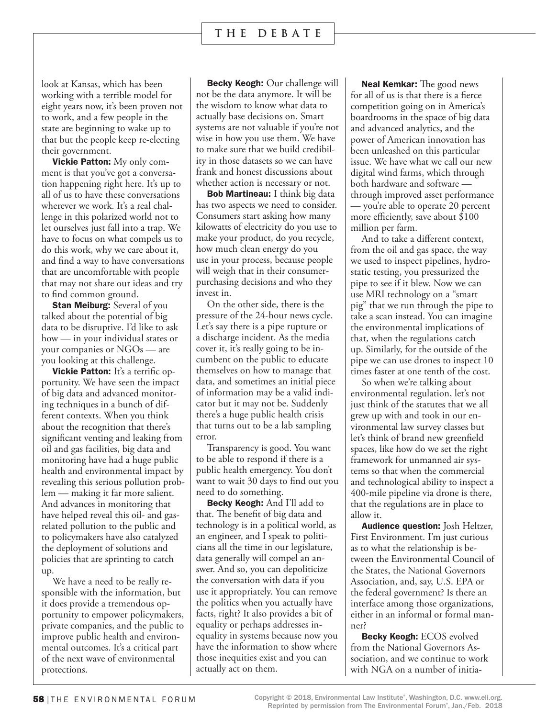look at Kansas, which has been working with a terrible model for eight years now, it's been proven not to work, and a few people in the state are beginning to wake up to that but the people keep re-electing their government.

**Vickie Patton:** My only comment is that you've got a conversation happening right here. It's up to all of us to have these conversations wherever we work. It's a real challenge in this polarized world not to let ourselves just fall into a trap. We have to focus on what compels us to do this work, why we care about it, and find a way to have conversations that are uncomfortable with people that may not share our ideas and try to find common ground.

**Stan Meiburg:** Several of you talked about the potential of big data to be disruptive. I'd like to ask how — in your individual states or your companies or NGOs — are you looking at this challenge.

Vickie Patton: It's a terrific opportunity. We have seen the impact of big data and advanced monitoring techniques in a bunch of different contexts. When you think about the recognition that there's significant venting and leaking from oil and gas facilities, big data and monitoring have had a huge public health and environmental impact by revealing this serious pollution problem — making it far more salient. And advances in monitoring that have helped reveal this oil- and gasrelated pollution to the public and to policymakers have also catalyzed the deployment of solutions and policies that are sprinting to catch up.

We have a need to be really responsible with the information, but it does provide a tremendous opportunity to empower policymakers, private companies, and the public to improve public health and environmental outcomes. It's a critical part of the next wave of environmental protections.

**Becky Keogh:** Our challenge will not be the data anymore. It will be the wisdom to know what data to actually base decisions on. Smart systems are not valuable if you're not wise in how you use them. We have to make sure that we build credibility in those datasets so we can have frank and honest discussions about whether action is necessary or not.

**Bob Martineau:** I think big data has two aspects we need to consider. Consumers start asking how many kilowatts of electricity do you use to make your product, do you recycle, how much clean energy do you use in your process, because people will weigh that in their consumerpurchasing decisions and who they invest in.

On the other side, there is the pressure of the 24-hour news cycle. Let's say there is a pipe rupture or a discharge incident. As the media cover it, it's really going to be incumbent on the public to educate themselves on how to manage that data, and sometimes an initial piece of information may be a valid indicator but it may not be. Suddenly there's a huge public health crisis that turns out to be a lab sampling error.

Transparency is good. You want to be able to respond if there is a public health emergency. You don't want to wait 30 days to find out you need to do something.

Becky Keogh: And I'll add to that. The benefit of big data and technology is in a political world, as an engineer, and I speak to politicians all the time in our legislature, data generally will compel an answer. And so, you can depoliticize the conversation with data if you use it appropriately. You can remove the politics when you actually have facts, right? It also provides a bit of equality or perhaps addresses inequality in systems because now you have the information to show where those inequities exist and you can actually act on them.

Neal Kemkar: The good news for all of us is that there is a fierce competition going on in America's boardrooms in the space of big data and advanced analytics, and the power of American innovation has been unleashed on this particular issue. We have what we call our new digital wind farms, which through both hardware and software through improved asset performance — you're able to operate 20 percent more efficiently, save about \$100 million per farm.

And to take a different context, from the oil and gas space, the way we used to inspect pipelines, hydrostatic testing, you pressurized the pipe to see if it blew. Now we can use MRI technology on a "smart pig" that we run through the pipe to take a scan instead. You can imagine the environmental implications of that, when the regulations catch up. Similarly, for the outside of the pipe we can use drones to inspect 10 times faster at one tenth of the cost.

So when we're talking about environmental regulation, let's not just think of the statutes that we all grew up with and took in our environmental law survey classes but let's think of brand new greenfield spaces, like how do we set the right framework for unmanned air systems so that when the commercial and technological ability to inspect a 400-mile pipeline via drone is there, that the regulations are in place to allow it.

Audience question: Josh Heltzer, First Environment. I'm just curious as to what the relationship is between the Environmental Council of the States, the National Governors Association, and, say, U.S. EPA or the federal government? Is there an interface among those organizations, either in an informal or formal manner?

Becky Keogh: ECOS evolved from the National Governors Association, and we continue to work with NGA on a number of initia-